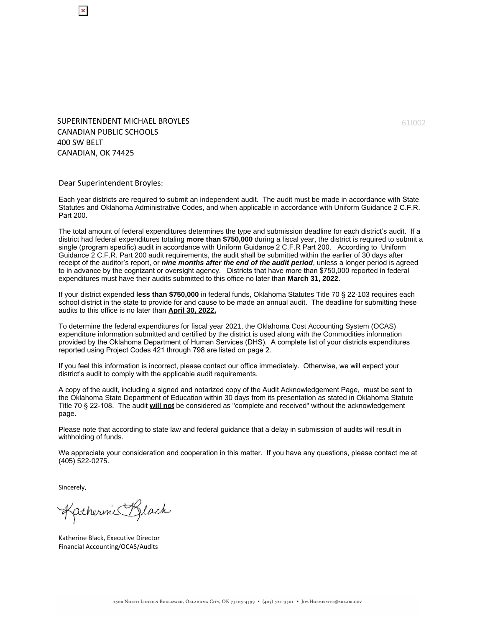SUPERINTENDENT MICHAEL BROYLES CANADIAN PUBLIC SCHOOLS 400 SW BELT CANADIAN, OK 74425

Dear Superintendent Broyles:

Each year districts are required to submit an independent audit. The audit must be made in accordance with State Statutes and Oklahoma Administrative Codes, and when applicable in accordance with Uniform Guidance 2 C.F.R. Part 200.

The total amount of federal expenditures determines the type and submission deadline for each district's audit. If a district had federal expenditures totaling **more than \$750,000** during a fiscal year, the district is required to submit a single (program specific) audit in accordance with Uniform Guidance 2 C.F.R Part 200. According to Uniform Guidance 2 C.F.R. Part 200 audit requirements, the audit shall be submitted within the earlier of 30 days after receipt of the auditor's report, or **nine months after the end of the audit period**, unless a longer period is agreed to in advance by the cognizant or oversight agency. Districts that have more than \$750,000 reported in federal expenditures must have their audits submitted to this office no later than **March 31, 2022.**

If your district expended **less than \$750,000** in federal funds, Oklahoma Statutes Title 70 § 22-103 requires each school district in the state to provide for and cause to be made an annual audit. The deadline for submitting these audits to this office is no later than **April 30, 2022.**

To determine the federal expenditures for fiscal year 2021, the Oklahoma Cost Accounting System (OCAS) expenditure information submitted and certified by the district is used along with the Commodities information provided by the Oklahoma Department of Human Services (DHS). A complete list of your districts expenditures reported using Project Codes 421 through 798 are listed on page 2.

If you feel this information is incorrect, please contact our office immediately. Otherwise, we will expect your district's audit to comply with the applicable audit requirements.

A copy of the audit, including a signed and notarized copy of the Audit Acknowledgement Page, must be sent to the Oklahoma State Department of Education within 30 days from its presentation as stated in Oklahoma Statute Title 70 § 22-108. The audit **will not** be considered as "complete and received" without the acknowledgement page.

Please note that according to state law and federal guidance that a delay in submission of audits will result in withholding of funds.

We appreciate your consideration and cooperation in this matter. If you have any questions, please contact me at (405) 522-0275.

Sincerely,

Katherine Black

Katherine Black, Executive Director Financial Accounting/OCAS/Audits

61I002